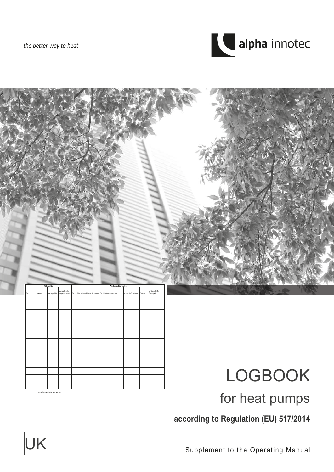the better way to heat





# for heat pumps

**according to Regulation (EU) 517/2014**



\* zutreffendes bitte ankreuzen

Supplement to the Operating Manual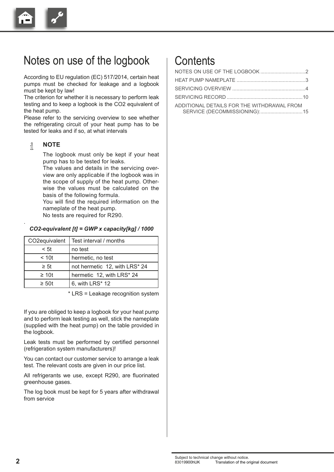

### Notes on use of the logbook

According to EU regulation (EC) 517/2014, certain heat pumps must be checked for leakage and a logbook must be kept by law!

The criterion for whether it is necessary to perform leak testing and to keep a logbook is the CO2 equivalent of the heat pump.

Please refer to the servicing overview to see whether the refrigerating circuit of your heat pump has to be tested for leaks and if so, at what intervals

#### ้ำ **NOTE**

.

The logbook must only be kept if your heat pump has to be tested for leaks.

The values and details in the servicing overview are only applicable if the logbook was in the scope of supply of the heat pump. Otherwise the values must be calculated on the basis of the following formula.

 You will find the required information on the nameplate of the heat pump.

No tests are required for R290.

#### *CO2-equivalent [t] = GWP x capacity[kg] / 1000*

| CO2equivalent | Test interval / months        |
|---------------|-------------------------------|
| < 5t          | no test                       |
| < 10t         | hermetic, no test             |
| $\geq 5t$     | not hermetic 12, with LRS* 24 |
| $\geq 10t$    | hermetic 12, with LRS* 24     |
| $\geq 50t$    | 6, with LRS* 12               |

\* LRS = Leakage recognition system

If you are obliged to keep a logbook for your heat pump and to perform leak testing as well, stick the nameplate (supplied with the heat pump) on the table provided in the logbook.

Leak tests must be performed by certified personnel (refrigeration system manufacturers)!

You can contact our customer service to arrange a leak test. The relevant costs are given in our price list.

All refrigerants we use, except R290, are fluorinated greenhouse gases.

The log book must be kept for 5 years after withdrawal from service

#### **Contents**

| ADDITIONAL DETAILS FOR THE WITHDRAWAL FROM |  |
|--------------------------------------------|--|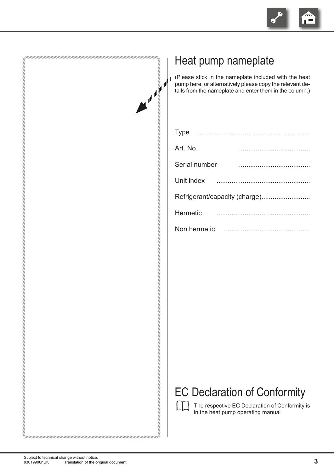

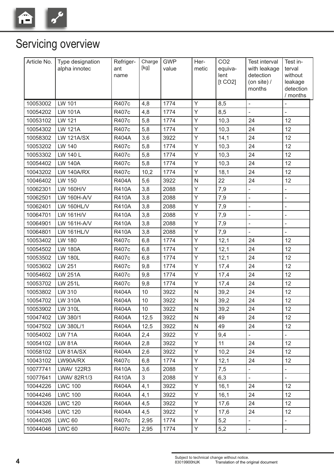

## Servicing overview

| Article No. | Type designation<br>alpha innotec | Refriger-<br>ant<br>name | Charge<br>[kg] | <b>GWP</b><br>value | Her-<br>metic | CO <sub>2</sub><br>equiva-<br>lent<br>[t CO2] | <b>Test interval</b><br>with leakage<br>detection<br>(on site) $/$<br>months | Test in-<br>terval<br>without<br>leakage<br>detection<br>/ months |
|-------------|-----------------------------------|--------------------------|----------------|---------------------|---------------|-----------------------------------------------|------------------------------------------------------------------------------|-------------------------------------------------------------------|
| 10053002    | LW 101                            | R407c                    | 4,8            | 1774                | Y             | 8,5                                           | $\bar{\phantom{a}}$                                                          |                                                                   |
| 10054202    | <b>LW 101A</b>                    | R407c                    | 4,8            | 1774                | Y             | 8,5                                           | $\overline{a}$                                                               | $\frac{1}{2}$                                                     |
| 10053102    | LW 121                            | R407c                    | 5,8            | 1774                | Y             | 10,3                                          | 24                                                                           | 12                                                                |
| 10054302    | <b>LW 121A</b>                    | R407c                    | 5,8            | 1774                | Y             | 10,3                                          | 24                                                                           | 12                                                                |
| 10058302    | <b>LW 121A/SX</b>                 | <b>R404A</b>             | 3,6            | 3922                | Y             | 14,1                                          | 24                                                                           | 12                                                                |
| 10053202    | LW 140                            | R407c                    | 5,8            | 1774                | Y             | 10,3                                          | 24                                                                           | 12                                                                |
| 10053302    | LW 140 L                          | R407c                    | 5,8            | 1774                | Y             | 10,3                                          | 24                                                                           | 12                                                                |
| 10054402    | <b>LW 140A</b>                    | R407c                    | 5,8            | 1774                | Y             | 10,3                                          | 24                                                                           | 12                                                                |
| 10043202    | <b>LW 140A/RX</b>                 | R407c                    | 10,2           | 1774                | Y             | 18,1                                          | 24                                                                           | 12                                                                |
| 10046402    | LW 150                            | <b>R404A</b>             | 5,6            | 3922                | $\mathsf{N}$  | 22                                            | 24                                                                           | 12                                                                |
| 10062301    | LW 160H/V                         | <b>R410A</b>             | 3,8            | 2088                | Y             | 7,9                                           | $\blacksquare$                                                               | $\overline{\phantom{a}}$                                          |
| 10062501    | LW 160H-A/V                       | <b>R410A</b>             | 3,8            | 2088                | Υ             | 7,9                                           | $\overline{a}$                                                               | $\overline{a}$                                                    |
| 10062401    | <b>LW 160HL/V</b>                 | <b>R410A</b>             | 3,8            | 2088                | Y             | 7,9                                           | $\overline{a}$                                                               | L,                                                                |
| 10064701    | LW 161H/V                         | <b>R410A</b>             | 3,8            | 2088                | Y             | 7,9                                           | $\overline{a}$                                                               |                                                                   |
| 10064901    | LW 161H-A/V                       | <b>R410A</b>             | 3,8            | 2088                | Y             | 7,9                                           | ÷,                                                                           |                                                                   |
| 10064801    | <b>LW 161HL/V</b>                 | <b>R410A</b>             | 3,8            | 2088                | Y             | 7,9                                           | $\blacksquare$                                                               |                                                                   |
| 10053402    | LW 180                            | R407c                    | 6,8            | 1774                | Y             | 12,1                                          | 24                                                                           | 12                                                                |
| 10054502    | <b>LW 180A</b>                    | R407c                    | 6,8            | 1774                | Y             | 12,1                                          | 24                                                                           | 12                                                                |
| 10053502    | <b>LW 180L</b>                    | R407c                    | 6,8            | 1774                | Y             | 12,1                                          | 24                                                                           | 12                                                                |
| 10053602    | LW 251                            | R407c                    | 9,8            | 1774                | Y             | 17,4                                          | 24                                                                           | 12                                                                |
| 10054602    | <b>LW 251A</b>                    | R407c                    | 9,8            | 1774                | Y             | 17,4                                          | 24                                                                           | 12                                                                |
| 10053702    | <b>LW 251L</b>                    | R407c                    | 9,8            | 1774                | Y             | 17,4                                          | 24                                                                           | 12                                                                |
| 10053802    | LW 310                            | <b>R404A</b>             | 10             | 3922                | ${\sf N}$     | 39,2                                          | 24                                                                           | 12                                                                |
| 10054702    | <b>LW 310A</b>                    | <b>R404A</b>             | 10             | 3922                | ${\sf N}$     | 39,2                                          | 24                                                                           | 12                                                                |
| 10053902    | LW 310L                           | <b>R404A</b>             | 10             | 3922                | ${\sf N}$     | 39,2                                          | 24                                                                           | 12                                                                |
| 10047402    | LW 380/1                          | <b>R404A</b>             | 12,5           | 3922                | N             | 49                                            | 24                                                                           | 12                                                                |
| 10047502    | LW 380L/1                         | R404A                    | 12,5           | 3922                | N             | 49                                            | 24                                                                           | 12                                                                |
| 10054002    | <b>LW 71A</b>                     | <b>R404A</b>             | 2,4            | 3922                | Y             | 9,4                                           |                                                                              |                                                                   |
| 10054102    | <b>LW 81A</b>                     | R404A                    | 2,8            | 3922                | Y             | 11                                            | 24                                                                           | 12 <sup>°</sup>                                                   |
| 10058102    | LW 81A/SX                         | R404A                    | 2,6            | 3922                | Y             | 10,2                                          | 24                                                                           | 12                                                                |
| 10043102    | LW90A/RX                          | R407c                    | 6,8            | 1774                | Y             | 12,1                                          | 24                                                                           | 12 <sup>°</sup>                                                   |
| 10077741    | <b>LWAV 122R3</b>                 | <b>R410A</b>             | 3,6            | 2088                | Y             | 7,5                                           | $\Box$                                                                       |                                                                   |
| 10077641    | <b>LWAV 82R1/3</b>                | <b>R410A</b>             | 3              | 2088                | Y             | 6,3                                           | $\Box$                                                                       | $\equiv$                                                          |
| 10044226    | <b>LWC 100</b>                    | R404A                    | 4,1            | 3922                | Y             | 16,1                                          | 24                                                                           | 12                                                                |
| 10044246    | <b>LWC 100</b>                    | <b>R404A</b>             | 4,1            | 3922                | Y             | 16,1                                          | 24                                                                           | 12                                                                |
| 10044326    | <b>LWC 120</b>                    | R404A                    | 4,5            | 3922                | Y             | 17,6                                          | 24                                                                           | 12                                                                |
| 10044346    | <b>LWC 120</b>                    | <b>R404A</b>             | 4,5            | 3922                | Y             | 17,6                                          | 24                                                                           | 12 <sup>2</sup>                                                   |
| 10044026    | <b>LWC 60</b>                     | R407c                    | 2,95           | 1774                | Y             | 5,2                                           | $\overline{\phantom{a}}$                                                     |                                                                   |
| 10044046    | <b>LWC 60</b>                     | R407c                    | 2,95           | 1774                | Y             | 5,2                                           |                                                                              |                                                                   |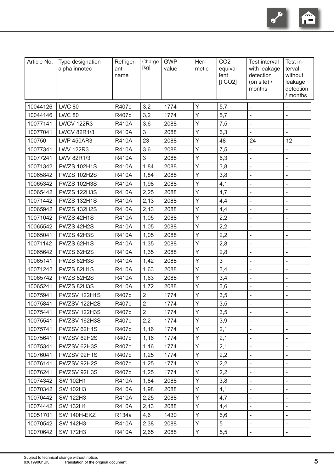

| Article No. | Type designation<br>alpha innotec | Refriger-<br>ant<br>name | Charge<br>[kg] | <b>GWP</b><br>value | Her-<br>metic | CO <sub>2</sub><br>equiva-<br>lent<br>[t CO2] | Test interval<br>with leakage<br>detection<br>(on site) $/$<br>months | Test in-<br>terval<br>without<br>leakage<br>detection<br>/ months |
|-------------|-----------------------------------|--------------------------|----------------|---------------------|---------------|-----------------------------------------------|-----------------------------------------------------------------------|-------------------------------------------------------------------|
| 10044126    | <b>LWC 80</b>                     | R407c                    | 3,2            | 1774                | Y             | 5,7                                           |                                                                       | $\blacksquare$                                                    |
| 10044146    | <b>LWC 80</b>                     | R407c                    | 3,2            | 1774                | Y             | 5,7                                           |                                                                       |                                                                   |
| 10077141    | <b>LWCV 122R3</b>                 | <b>R410A</b>             | 3,6            | 2088                | Y             | 7,5                                           | $\blacksquare$                                                        |                                                                   |
| 10077041    | <b>LWCV 82R1/3</b>                | <b>R410A</b>             | 3              | 2088                | Y             | 6,3                                           |                                                                       |                                                                   |
| 100750      | <b>LWP 450AR3</b>                 | <b>R410A</b>             | 23             | 2088                | Y             | 48                                            | 24                                                                    | 12                                                                |
| 10077341    | <b>LWV 122R3</b>                  | <b>R410A</b>             | 3,6            | 2088                | Y             | 7,5                                           |                                                                       | $\overline{a}$                                                    |
| 10077241    | LWV 82R1/3                        | <b>R410A</b>             | 3              | 2088                | Y             | 6,3                                           | $\overline{\phantom{a}}$                                              | $\blacksquare$                                                    |
| 10071342    | <b>PWZS 102H1S</b>                | <b>R410A</b>             | 1,84           | 2088                | Y             | 3,8                                           |                                                                       |                                                                   |
| 10065842    | <b>PWZS 102H2S</b>                | <b>R410A</b>             | 1,84           | 2088                | Y             | 3,8                                           |                                                                       |                                                                   |
| 10065342    | <b>PWZS 102H3S</b>                | <b>R410A</b>             | 1,98           | 2088                | Υ             | 4,1                                           | $\overline{\phantom{a}}$                                              |                                                                   |
| 10065442    | <b>PWZS 122H3S</b>                | <b>R410A</b>             | 2,25           | 2088                | Y             | 4,7                                           | $\blacksquare$                                                        | ä,                                                                |
| 10071442    | <b>PWZS 132H1S</b>                | <b>R410A</b>             | 2,13           | 2088                | Y             | 4,4                                           | $\blacksquare$                                                        | $\overline{\phantom{a}}$                                          |
| 10065942    | <b>PWZS 132H2S</b>                | <b>R410A</b>             | 2,13           | 2088                | Y             | 4,4                                           | $\overline{\phantom{a}}$                                              |                                                                   |
| 10071042    | PWZS 42H1S                        | <b>R410A</b>             | 1,05           | 2088                | Y             | 2,2                                           | $\overline{\phantom{a}}$                                              | $\blacksquare$                                                    |
| 10065542    | PWZS 42H2S                        | <b>R410A</b>             | 1,05           | 2088                | Y             | 2,2                                           |                                                                       |                                                                   |
| 10065041    | PWZS 42H3S                        | <b>R410A</b>             | 1,05           | 2088                | Y             | 2,2                                           | $\overline{\phantom{a}}$                                              | $\bar{\phantom{a}}$                                               |
| 10071142    | PWZS 62H1S                        | <b>R410A</b>             | 1,35           | 2088                | Y             | 2,8                                           |                                                                       | $\overline{\phantom{a}}$                                          |
| 10065642    | PWZS 62H2S                        | <b>R410A</b>             | 1,35           | 2088                | Y             | 2,8                                           |                                                                       |                                                                   |
| 10065141    | PWZS 62H3S                        | <b>R410A</b>             | 1,42           | 2088                | Y             | 3                                             |                                                                       |                                                                   |
| 10071242    | PWZS 82H1S                        | <b>R410A</b>             | 1,63           | 2088                | Y             | 3,4                                           |                                                                       |                                                                   |
| 10065742    | PWZS 82H2S                        | <b>R410A</b>             | 1,63           | 2088                | Υ             | 3,4                                           | $\overline{\phantom{a}}$                                              |                                                                   |
| 10065241    | PWZS 82H3S                        | <b>R410A</b>             | 1,72           | 2088                | Y             | 3,6                                           |                                                                       | $\overline{\phantom{a}}$                                          |
| 10075941    | PWZSV 122H1S                      | R407c                    | $\overline{2}$ | 1774                | Y             | 3,5                                           | $\blacksquare$                                                        |                                                                   |
| 10075841    | PWZSV 122H2S                      | R407c                    | $\overline{2}$ | 1774                | Y             | 3,5                                           |                                                                       |                                                                   |
| 10075441    | PWZSV 122H3S                      | R407c                    | $\overline{2}$ | 1774                | Y             | 3,5                                           | $\overline{\phantom{a}}$                                              |                                                                   |
| 10075541    | PWZSV 162H3S                      | R407c                    | 2,2            | 1774                | Y             | 3,9                                           |                                                                       |                                                                   |
| 10075741    | PWZSV 62H1S                       | R407c                    | 1,16           | 1774                | Y             | 2,1                                           | $\overline{\phantom{a}}$                                              | $\blacksquare$                                                    |
| 10075641    | PWZSV 62H2S                       | R407c                    | 1,16           | 1774                | Y             | 2,1                                           |                                                                       |                                                                   |
| 10075341    | PWZSV 62H3S                       | R407c                    | 1,16           | 1774                | Y             | 2,1                                           |                                                                       |                                                                   |
| 10076041    | PWZSV 92H1S                       | R407c                    | 1,25           | 1774                | Y             | 2,2                                           | $\overline{\phantom{a}}$                                              |                                                                   |
| 10076141    | PWZSV 92H2S                       | R407c                    | 1,25           | 1774                | Y             | 2,2                                           | $\overline{\phantom{a}}$                                              |                                                                   |
| 10076241    | PWZSV 92H3S                       | R407c                    | 1,25           | 1774                | Y             | 2,2                                           | $\blacksquare$                                                        | $\blacksquare$                                                    |
| 10074342    | <b>SW 102H1</b>                   | <b>R410A</b>             | 1,84           | 2088                | Y             | 3,8                                           |                                                                       |                                                                   |
| 10070342    | <b>SW 102H3</b>                   | <b>R410A</b>             | 1,98           | 2088                | Y             | 4,1                                           | $\overline{\phantom{a}}$                                              |                                                                   |
| 10070442    | <b>SW 122H3</b>                   | <b>R410A</b>             | 2,25           | 2088                | Y             | 4,7                                           |                                                                       |                                                                   |
| 10074442    | <b>SW 132H1</b>                   | <b>R410A</b>             | 2,13           | 2088                | Y             | 4,4                                           | $\overline{\phantom{a}}$                                              | $\overline{\phantom{a}}$                                          |
| 10051701    | SW 140H-EKZ                       | R134a                    | 4,6            | 1430                | Y             | 6,6                                           | $\blacksquare$                                                        |                                                                   |
| 10070542    | <b>SW 142H3</b>                   | <b>R410A</b>             | 2,38           | 2088                | Y             | 5                                             |                                                                       |                                                                   |
| 10070642    | <b>SW 172H3</b>                   | <b>R410A</b>             | 2,65           | 2088                | Y             | 5,5                                           |                                                                       |                                                                   |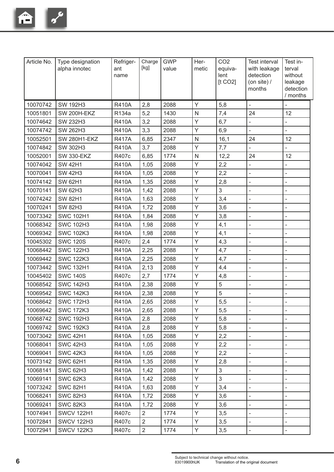

| Article No. | Type designation<br>alpha innotec | Refriger-<br>ant<br>name | Charge<br>[kg] | <b>GWP</b><br>value | Her-<br>metic  | CO <sub>2</sub><br>equiva-<br>lent<br>[t CO2] | <b>Test interval</b><br>with leakage<br>detection<br>(on site) $/$<br>months | Test in-<br>terval<br>without<br>leakage<br>detection<br>/ months |
|-------------|-----------------------------------|--------------------------|----------------|---------------------|----------------|-----------------------------------------------|------------------------------------------------------------------------------|-------------------------------------------------------------------|
| 10070742    | <b>SW 192H3</b>                   | <b>R410A</b>             | 2,8            | 2088                | Y              | 5,8                                           | $\overline{\phantom{a}}$                                                     |                                                                   |
| 10051801    | SW 200H-EKZ                       | R134a                    | 5,2            | 1430                | $\overline{N}$ | 7,4                                           | 24                                                                           | 12                                                                |
| 10074642    | <b>SW 232H3</b>                   | <b>R410A</b>             | 3,2            | 2088                | Y              | 6,7                                           | $\blacksquare$                                                               |                                                                   |
| 10074742    | <b>SW 262H3</b>                   | <b>R410A</b>             | 3,3            | 2088                | Y              | 6,9                                           | $\overline{a}$                                                               |                                                                   |
| 10052501    | <b>SW 280H1-EKZ</b>               | <b>R417A</b>             | 6,85           | 2347                | $\mathsf{N}$   | 16,1                                          | 24                                                                           | 12                                                                |
| 10074842    | <b>SW 302H3</b>                   | <b>R410A</b>             | 3,7            | 2088                | Y              | 7,7                                           | $\blacksquare$                                                               |                                                                   |
| 10052001    | <b>SW 330-EKZ</b>                 | R407c                    | 6,85           | 1774                | $\mathsf{N}$   | 12,2                                          | 24                                                                           | 12                                                                |
| 10074042    | <b>SW 42H1</b>                    | <b>R410A</b>             | 1,05           | 2088                | Y              | 2,2                                           | $\blacksquare$                                                               | ÷,                                                                |
| 10070041    | <b>SW 42H3</b>                    | <b>R410A</b>             | 1,05           | 2088                | Y              | 2,2                                           | $\blacksquare$                                                               | $\overline{a}$                                                    |
| 10074142    | <b>SW 62H1</b>                    | <b>R410A</b>             | 1,35           | 2088                | Y              | 2,8                                           | $\blacksquare$                                                               | ÷,                                                                |
| 10070141    | <b>SW 62H3</b>                    | <b>R410A</b>             | 1,42           | 2088                | Y              | $\mathfrak{S}$                                | $\blacksquare$                                                               | ÷,                                                                |
| 10074242    | <b>SW 82H1</b>                    | <b>R410A</b>             | 1,63           | 2088                | Υ              | 3,4                                           | $\frac{1}{2}$                                                                | ÷,                                                                |
| 10070241    | <b>SW 82H3</b>                    | <b>R410A</b>             | 1,72           | 2088                | Y              | 3,6                                           | $\overline{\phantom{a}}$                                                     |                                                                   |
| 10073342    | <b>SWC 102H1</b>                  | <b>R410A</b>             | 1,84           | 2088                | Y              | 3,8                                           | $\blacksquare$                                                               |                                                                   |
| 10068342    | <b>SWC 102H3</b>                  | <b>R410A</b>             | 1,98           | 2088                | Y              | 4,1                                           | $\overline{\phantom{a}}$                                                     | L,                                                                |
| 10069342    | <b>SWC 102K3</b>                  | <b>R410A</b>             | 1,98           | 2088                | Y              | 4,1                                           | $\overline{\phantom{a}}$                                                     | L,                                                                |
| 10045302    | <b>SWC 120S</b>                   | R407c                    | 2,4            | 1774                | Y              | 4,3                                           | $\blacksquare$                                                               | ÷,                                                                |
| 10068442    | <b>SWC 122H3</b>                  | <b>R410A</b>             | 2,25           | 2088                | Y              | 4,7                                           | $\overline{\phantom{a}}$                                                     | L,                                                                |
| 10069442    | <b>SWC 122K3</b>                  | <b>R410A</b>             | 2,25           | 2088                | Y              | 4,7                                           | $\overline{\phantom{a}}$                                                     | ÷,                                                                |
| 10073442    | <b>SWC 132H1</b>                  | <b>R410A</b>             | 2,13           | 2088                | Y              | 4,4                                           | $\blacksquare$                                                               | $\overline{\phantom{0}}$                                          |
| 10045402    | <b>SWC 140S</b>                   | R407c                    | 2,7            | 1774                | Y              | 4,8                                           | $\blacksquare$                                                               | L,                                                                |
| 10068542    | <b>SWC 142H3</b>                  | <b>R410A</b>             | 2,38           | 2088                | Y              | 5                                             | $\overline{\phantom{a}}$                                                     | ÷,                                                                |
| 10069542    | <b>SWC 142K3</b>                  | <b>R410A</b>             | 2,38           | 2088                | Y              | 5                                             | $\overline{\phantom{a}}$                                                     |                                                                   |
| 10068642    | <b>SWC 172H3</b>                  | <b>R410A</b>             | 2,65           | 2088                | Y              | 5,5                                           | $\blacksquare$                                                               |                                                                   |
| 10069642    | <b>SWC 172K3</b>                  | <b>R410A</b>             | 2,65           | 2088                | Y              | 5,5                                           | $\overline{\phantom{a}}$                                                     |                                                                   |
| 10068742    | <b>SWC 192H3</b>                  | <b>R410A</b>             | 2,8            | 2088                | Y              | 5,8                                           | $\blacksquare$                                                               |                                                                   |
| 10069742    | <b>SWC 192K3</b>                  | <b>R410A</b>             | 2,8            | 2088                | Y              | 5,8                                           |                                                                              |                                                                   |
| 10073042    | <b>SWC 42H1</b>                   | <b>R410A</b>             | 1,05           | 2088                | Y              | 2,2                                           | $\blacksquare$                                                               | $\overline{\phantom{0}}$                                          |
| 10068041    | <b>SWC 42H3</b>                   | <b>R410A</b>             | 1,05           | 2088                | Y              | 2,2                                           | $\overline{\phantom{a}}$                                                     |                                                                   |
| 10069041    | <b>SWC 42K3</b>                   | <b>R410A</b>             | 1,05           | 2088                | Y              | 2,2                                           | $\overline{\phantom{a}}$                                                     | $\overline{\phantom{a}}$                                          |
| 10073142    | <b>SWC 62H1</b>                   | <b>R410A</b>             | 1,35           | 2088                | Y              | 2,8                                           | $\blacksquare$                                                               | ÷,                                                                |
| 10068141    | <b>SWC 62H3</b>                   | <b>R410A</b>             | 1,42           | 2088                | Y              | $\sqrt{3}$                                    | $\overline{\phantom{a}}$                                                     |                                                                   |
| 10069141    | <b>SWC 62K3</b>                   | <b>R410A</b>             | 1,42           | 2088                | Y              | $\sqrt{3}$                                    | $\blacksquare$                                                               |                                                                   |
| 10073242    | <b>SWC 82H1</b>                   | <b>R410A</b>             | 1,63           | 2088                | Y              | 3,4                                           |                                                                              |                                                                   |
| 10068241    | <b>SWC 82H3</b>                   | <b>R410A</b>             | 1,72           | 2088                | Y              | 3,6                                           | $\blacksquare$                                                               |                                                                   |
| 10069241    | <b>SWC 82K3</b>                   | <b>R410A</b>             | 1,72           | 2088                | Y              | 3,6                                           | $\blacksquare$                                                               |                                                                   |
| 10074941    | <b>SWCV 122H1</b>                 | R407c                    | $\overline{2}$ | 1774                | Y              | 3,5                                           | $\blacksquare$                                                               |                                                                   |
| 10072841    | <b>SWCV 122H3</b>                 | R407c                    | 2              | 1774                | Y              | 3,5                                           | $\overline{\phantom{a}}$                                                     |                                                                   |
| 10072941    | <b>SWCV 122K3</b>                 | R407c                    | $\overline{2}$ | 1774                | Y              | 3,5                                           | $\overline{\phantom{a}}$                                                     | $\overline{\phantom{a}}$                                          |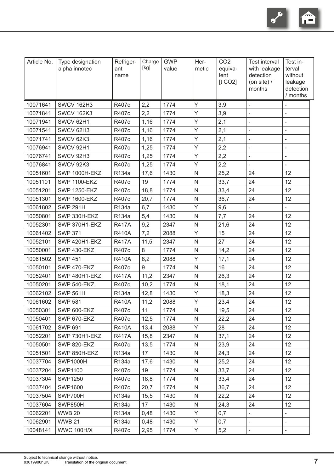Ê  $\overline{\mathbf{c}}$ 

| Article No. | Type designation<br>alpha innotec | Refriger-<br>ant<br>name | Charge<br>[kg] | <b>GWP</b><br>value | Her-<br>metic | CO <sub>2</sub><br>equiva-<br>lent<br>[t CO2] | <b>Test interval</b><br>with leakage<br>detection<br>(on site) $/$<br>months | Test in-<br>terval<br>without<br>leakage<br>detection<br>/ months |
|-------------|-----------------------------------|--------------------------|----------------|---------------------|---------------|-----------------------------------------------|------------------------------------------------------------------------------|-------------------------------------------------------------------|
| 10071641    | <b>SWCV 162H3</b>                 | R407c                    | 2,2            | 1774                | Y             | 3,9                                           | $\overline{\phantom{a}}$                                                     |                                                                   |
| 10071841    | <b>SWCV 162K3</b>                 | R407c                    | 2,2            | 1774                | Y             | 3,9                                           | $\overline{\phantom{a}}$                                                     | L,                                                                |
| 10071941    | SWCV 62H1                         | R407c                    | 1,16           | 1774                | Υ             | 2,1                                           | $\blacksquare$                                                               | ÷,                                                                |
| 10071541    | SWCV 62H3                         | R407c                    | 1,16           | 1774                | Υ             | 2,1                                           | $\overline{\phantom{a}}$                                                     |                                                                   |
| 10071741    | SWCV 62K3                         | R407c                    | 1,16           | 1774                | Y             | 2,1                                           | $\overline{\phantom{a}}$                                                     |                                                                   |
| 10076941    | SWCV 92H1                         | R407c                    | 1,25           | 1774                | Y             | 2,2                                           | $\blacksquare$                                                               |                                                                   |
| 10076741    | SWCV 92H3                         | R407c                    | 1,25           | 1774                | Y             | 2,2                                           | $\bar{\phantom{a}}$                                                          |                                                                   |
| 10076841    | SWCV 92K3                         | R407c                    | 1,25           | 1774                | Y             | 2,2                                           | $\blacksquare$                                                               |                                                                   |
| 10051601    | SWP 1000H-EKZ                     | R134a                    | 17,6           | 1430                | N             | 25,2                                          | 24                                                                           | 12                                                                |
| 10051101    | <b>SWP 1100-EKZ</b>               | R407c                    | 19             | 1774                | N             | 33,7                                          | 24                                                                           | 12                                                                |
| 10051201    | <b>SWP 1250-EKZ</b>               | R407c                    | 18,8           | 1774                | N             | 33,4                                          | 24                                                                           | 12                                                                |
| 10051301    | <b>SWP 1600-EKZ</b>               | R407c                    | 20,7           | 1774                | N             | 36,7                                          | 24                                                                           | 12                                                                |
| 10061802    | <b>SWP 291H</b>                   | R134a                    | 6,7            | 1430                | Y             | 9,6                                           |                                                                              |                                                                   |
| 10050801    | SWP 330H-EKZ                      | R134a                    | 5,4            | 1430                | N             | 7,7                                           | 24                                                                           | 12                                                                |
| 10052301    | SWP 370H1-EKZ                     | <b>R417A</b>             | 9,2            | 2347                | N             | 21,6                                          | 24                                                                           | 12                                                                |
| 10061402    | <b>SWP 371</b>                    | <b>R410A</b>             | 7,2            | 2088                | Y             | 15                                            | 24                                                                           | 12                                                                |
| 10052101    | SWP 420H1-EKZ                     | <b>R417A</b>             | 11,5           | 2347                | N             | 27                                            | 24                                                                           | 12                                                                |
| 10050001    | SWP 430-EKZ                       | R407c                    | 8              | 1774                | N             | 14,2                                          | 24                                                                           | 12                                                                |
| 10061502    | <b>SWP 451</b>                    | <b>R410A</b>             | 8,2            | 2088                | Y             | 17,1                                          | 24                                                                           | 12                                                                |
| 10050101    | SWP 470-EKZ                       | R407c                    | 9              | 1774                | N             | 16                                            | 24                                                                           | 12                                                                |
| 10052401    | SWP 480H1-EKZ                     | <b>R417A</b>             | 11,2           | 2347                | N             | 26,3                                          | 24                                                                           | 12                                                                |
| 10050201    | SWP 540-EKZ                       | R407c                    | 10,2           | 1774                | N             | 18,1                                          | 24                                                                           | 12                                                                |
| 10062102    | <b>SWP 561H</b>                   | R134a                    | 12,8           | 1430                | Υ             | 18,3                                          | 24                                                                           | 12                                                                |
| 10061602    | <b>SWP 581</b>                    | <b>R410A</b>             | 11,2           | 2088                | Y             | 23,4                                          | 24                                                                           | 12                                                                |
| 10050301    | SWP 600-EKZ                       | R407c                    | 11             | 1774                | $\mathsf{N}$  | 19,5                                          | 24                                                                           | 12                                                                |
| 10050401    | SWP 670-EKZ                       | R407c                    | 12,5           | 1774                | N             | 22,2                                          | 24                                                                           | 12                                                                |
| 10061702    | <b>SWP 691</b>                    | <b>R410A</b>             | 13,4           | 2088                | Υ             | 28                                            | 24                                                                           | 12                                                                |
| 10052201    | SWP 730H1-EKZ                     | <b>R417A</b>             | 15,8           | 2347                | N             | 37,1                                          | 24                                                                           | 12                                                                |
| 10050501    | SWP 820-EKZ                       | R407c                    | 13,5           | 1774                | N             | 23,9                                          | 24                                                                           | 12                                                                |
| 10051501    | SWP 850H-EKZ                      | R134a                    | 17             | 1430                | N             | 24,3                                          | 24                                                                           | 12                                                                |
| 10037704    | <b>SWP1000H</b>                   | R134a                    | 17,6           | 1430                | N             | 25,2                                          | 24                                                                           | 12                                                                |
| 10037204    | <b>SWP1100</b>                    | R407c                    | 19             | 1774                | N             | 33,7                                          | 24                                                                           | 12                                                                |
| 10037304    | <b>SWP1250</b>                    | R407c                    | 18,8           | 1774                | N             | 33,4                                          | 24                                                                           | 12                                                                |
| 10037404    | <b>SWP1600</b>                    | R407c                    | 20,7           | 1774                | N             | 36,7                                          | 24                                                                           | 12                                                                |
| 10037504    | SWP700H                           | R134a                    | 15,5           | 1430                | N             | 22,2                                          | 24                                                                           | 12                                                                |
| 10037604    | SWP850H                           | R134a                    | 17             | 1430                | N             | 24,3                                          | 24                                                                           | 12                                                                |
| 10062201    | <b>WWB 20</b>                     | R134a                    | 0,48           | 1430                | Υ             | 0,7                                           | $\qquad \qquad \blacksquare$                                                 |                                                                   |
| 10062901    | <b>WWB 21</b>                     | R134a                    | 0,48           | 1430                | Υ             | 0,7                                           |                                                                              |                                                                   |
| 10048141    | <b>WWC 100H/X</b>                 | R407c                    | 2,95           | 1774                | Y             | 5,2                                           | $\overline{\phantom{a}}$                                                     |                                                                   |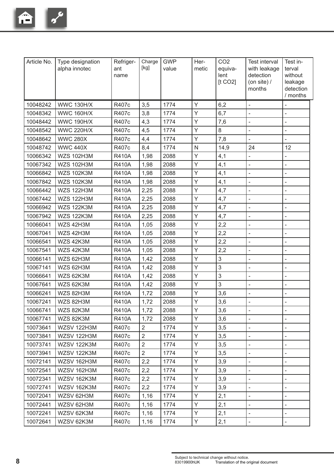

| Article No. | Type designation<br>alpha innotec | Refriger-<br>ant<br>name | Charge<br>[kg] | <b>GWP</b><br>value | Her-<br>metic | CO <sub>2</sub><br>equiva-<br>lent<br>[t CO2] | <b>Test interval</b><br>with leakage<br>detection<br>(on site) $/$<br>months | Test in-<br>terval<br>without<br>leakage<br>detection<br>/ months |
|-------------|-----------------------------------|--------------------------|----------------|---------------------|---------------|-----------------------------------------------|------------------------------------------------------------------------------|-------------------------------------------------------------------|
| 10048242    | <b>WWC 130H/X</b>                 | R407c                    | 3,5            | 1774                | Y             | 6,2                                           | $\overline{a}$                                                               |                                                                   |
| 10048342    | <b>WWC 160H/X</b>                 | R407c                    | 3,8            | 1774                | Y             | 6,7                                           | $\overline{\phantom{a}}$                                                     |                                                                   |
| 10048442    | <b>WWC 190H/X</b>                 | R407c                    | 4,3            | 1774                | Y             | 7,6                                           | ÷,                                                                           |                                                                   |
| 10048542    | <b>WWC 220H/X</b>                 | R407c                    | 4,5            | 1774                | Y             | 8                                             | $\bar{\phantom{a}}$                                                          | ÷,                                                                |
| 10048642    | <b>WWC 280X</b>                   | R407c                    | 4,4            | 1774                | Y             | 7,8                                           | $\overline{\phantom{a}}$                                                     |                                                                   |
| 10048742    | <b>WWC 440X</b>                   | R407c                    | 8,4            | 1774                | ${\sf N}$     | 14,9                                          | 24                                                                           | 12                                                                |
| 10066342    | <b>WZS 102H3M</b>                 | <b>R410A</b>             | 1,98           | 2088                | Y             | 4,1                                           | $\bar{\phantom{a}}$                                                          | $\overline{a}$                                                    |
| 10067342    | <b>WZS 102H3M</b>                 | <b>R410A</b>             | 1,98           | 2088                | Y             | 4,1                                           | $\overline{\phantom{a}}$                                                     | ÷,                                                                |
| 10066842    | <b>WZS 102K3M</b>                 | <b>R410A</b>             | 1,98           | 2088                | Y             | 4,1                                           | $\bar{\phantom{a}}$                                                          | L,                                                                |
| 10067842    | <b>WZS 102K3M</b>                 | <b>R410A</b>             | 1,98           | 2088                | Y             | 4,1                                           | $\overline{\phantom{a}}$                                                     |                                                                   |
| 10066442    | <b>WZS 122H3M</b>                 | <b>R410A</b>             | 2,25           | 2088                | Y             | 4,7                                           | $\overline{\phantom{a}}$                                                     | L,                                                                |
| 10067442    | <b>WZS 122H3M</b>                 | <b>R410A</b>             | 2,25           | 2088                | Y             | 4,7                                           | $\overline{\phantom{a}}$                                                     |                                                                   |
| 10066942    | <b>WZS 122K3M</b>                 | <b>R410A</b>             | 2,25           | 2088                | Y             | 4,7                                           | $\bar{\phantom{a}}$                                                          |                                                                   |
| 10067942    | <b>WZS 122K3M</b>                 | <b>R410A</b>             | 2,25           | 2088                | Y             | 4,7                                           | $\overline{\phantom{a}}$                                                     | L,                                                                |
| 10066041    | WZS 42H3M                         | <b>R410A</b>             | 1,05           | 2088                | Y             | 2,2                                           | $\blacksquare$                                                               |                                                                   |
| 10067041    | WZS 42H3M                         | <b>R410A</b>             | 1,05           | 2088                | Y             | 2,2                                           | $\overline{\phantom{a}}$                                                     |                                                                   |
| 10066541    | WZS 42K3M                         | <b>R410A</b>             | 1,05           | 2088                | Y             | 2,2                                           | $\blacksquare$                                                               | ÷,                                                                |
| 10067541    | WZS 42K3M                         | <b>R410A</b>             | 1,05           | 2088                | Y             | 2,2                                           | $\overline{\phantom{a}}$                                                     | L,                                                                |
| 10066141    | WZS 62H3M                         | <b>R410A</b>             | 1,42           | 2088                | Y             | $\mathfrak{S}$                                | $\overline{\phantom{a}}$                                                     | $\blacksquare$                                                    |
| 10067141    | WZS 62H3M                         | <b>R410A</b>             | 1,42           | 2088                | Y             | $\mathfrak{S}$                                | $\bar{\phantom{a}}$                                                          | ÷,                                                                |
| 10066641    | WZS 62K3M                         | <b>R410A</b>             | 1,42           | 2088                | Y             | $\mathfrak{S}$                                | $\bar{\phantom{a}}$                                                          | L,                                                                |
| 10067641    | WZS 62K3M                         | <b>R410A</b>             | 1,42           | 2088                | Y             | $\mathfrak{S}$                                | $\frac{1}{2}$                                                                |                                                                   |
| 10066241    | WZS 82H3M                         | <b>R410A</b>             | 1,72           | 2088                | Y             | 3,6                                           | $\blacksquare$                                                               |                                                                   |
| 10067241    | WZS 82H3M                         | <b>R410A</b>             | 1,72           | 2088                | Y             | 3,6                                           | $\overline{\phantom{a}}$                                                     |                                                                   |
| 10066741    | WZS 82K3M                         | <b>R410A</b>             | 1,72           | 2088                | Y             | 3,6                                           | $\overline{\phantom{a}}$                                                     |                                                                   |
| 10067741    | WZS 82K3M                         | <b>R410A</b>             | 1,72           | 2088                | Y             | 3,6                                           | $\blacksquare$                                                               |                                                                   |
| 10073641    | WZSV 122H3M                       | R407c                    | $\overline{2}$ | 1774                | Y             | 3,5                                           | $\overline{\phantom{a}}$                                                     |                                                                   |
| 10073841    | WZSV 122H3M                       | R407c                    | $\overline{2}$ | 1774                | Y             | 3,5                                           | $\overline{\phantom{a}}$                                                     | $\qquad \qquad -$                                                 |
| 10073741    | WZSV 122K3M                       | R407c                    | $\overline{2}$ | 1774                | Y             | 3,5                                           | $\overline{\phantom{a}}$                                                     |                                                                   |
| 10073941    | WZSV 122K3M                       | R407c                    | $\overline{2}$ | 1774                | Y             | 3,5                                           | $\overline{\phantom{a}}$                                                     | $\qquad \qquad -$                                                 |
| 10072141    | WZSV 162H3M                       | R407c                    | 2,2            | 1774                | Y             | 3,9                                           | $\overline{\phantom{a}}$                                                     |                                                                   |
| 10072541    | WZSV 162H3M                       | R407c                    | 2,2            | 1774                | Y             | 3,9                                           | $\overline{\phantom{a}}$                                                     |                                                                   |
| 10072341    | WZSV 162K3M                       | R407c                    | 2,2            | 1774                | Y             | 3,9                                           | $\overline{\phantom{a}}$                                                     |                                                                   |
| 10072741    | WZSV 162K3M                       | R407c                    | 2,2            | 1774                | Y             | 3,9                                           | $\overline{\phantom{a}}$                                                     |                                                                   |
| 10072041    | WZSV 62H3M                        | R407c                    | 1,16           | 1774                | Y             | 2,1                                           | $\overline{\phantom{a}}$                                                     |                                                                   |
| 10072441    | WZSV 62H3M                        | R407c                    | 1,16           | 1774                | Y             | 2,1                                           | $\overline{\phantom{a}}$                                                     |                                                                   |
| 10072241    | WZSV 62K3M                        | R407c                    | 1,16           | 1774                | Y             | 2,1                                           | $\overline{\phantom{a}}$                                                     | $\qquad \qquad \blacksquare$                                      |
| 10072641    | WZSV 62K3M                        | R407c                    | 1,16           | 1774                | Y             | 2,1                                           |                                                                              |                                                                   |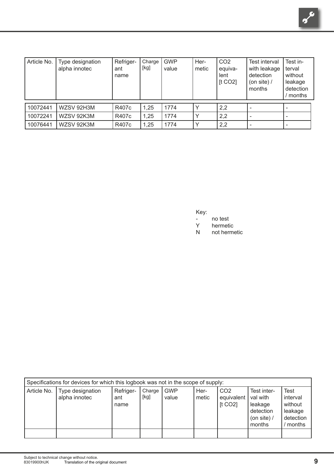| Article No. | Type designation<br>alpha innotec | Refriger-<br>ant<br>name | Charge<br>[kg] | <b>GWP</b><br>value | Her-<br>metic | CO <sub>2</sub><br>equiva-<br>lent<br>[t CO2] | Test interval<br>with leakage<br>detection<br>(on site) $/$<br>months | Test in-<br>terval<br>without<br>leakage<br>detection<br>months |
|-------------|-----------------------------------|--------------------------|----------------|---------------------|---------------|-----------------------------------------------|-----------------------------------------------------------------------|-----------------------------------------------------------------|
| 10072441    | WZSV 92H3M                        | R407c                    | 1,25           | 1774                |               | 2,2                                           |                                                                       |                                                                 |
| 10072241    | WZSV 92K3M                        | R407c                    | 1,25           | 1774                | $\check{ }$   | 2,2                                           |                                                                       |                                                                 |
| 10076441    | WZSV 92K3M                        | R407c                    | 1,25           | 1774                |               | 2,2                                           |                                                                       |                                                                 |

Key:

- no test<br>Y hermeti
- Y hermetic<br>N not herm
- not hermetic

|             | Specifications for devices for which this logbook was not in the scope of supply: |                          |                |                     |               |                                          |                                                                            |                                                                      |
|-------------|-----------------------------------------------------------------------------------|--------------------------|----------------|---------------------|---------------|------------------------------------------|----------------------------------------------------------------------------|----------------------------------------------------------------------|
| Article No. | Type designation<br>alpha innotec                                                 | Refriger-<br>ant<br>name | Charge<br>[kg] | <b>GWP</b><br>value | Her-<br>metic | CO <sub>2</sub><br>equivalent<br>[t CO2] | Test inter-<br>val with<br>leakage<br>detection<br>(on site) $/$<br>months | <b>Test</b><br>interval<br>without<br>leakage<br>detection<br>months |
|             |                                                                                   |                          |                |                     |               |                                          |                                                                            |                                                                      |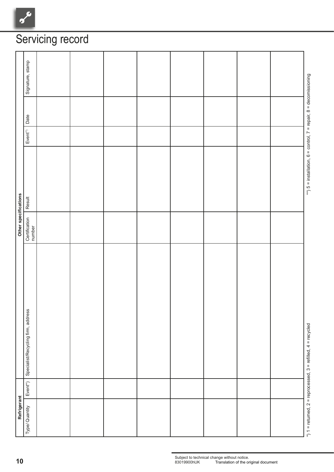| Signature, stamp<br>Date<br>$Event^{\prime\prime}$<br>Other specifications<br>Result<br>Certification<br>number<br>Specialist/Recycling firm, address |             |                |  |  |  |  |
|-------------------------------------------------------------------------------------------------------------------------------------------------------|-------------|----------------|--|--|--|--|
|                                                                                                                                                       |             |                |  |  |  |  |
|                                                                                                                                                       |             |                |  |  |  |  |
|                                                                                                                                                       |             |                |  |  |  |  |
|                                                                                                                                                       |             |                |  |  |  |  |
|                                                                                                                                                       |             |                |  |  |  |  |
| $Event^*)$                                                                                                                                            |             |                |  |  |  |  |
|                                                                                                                                                       | Refrigerant | Type/ Quantity |  |  |  |  |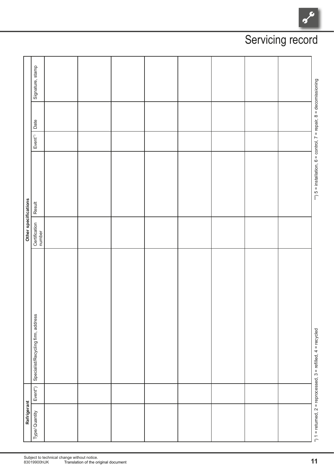| Refrigerant    |             |                                                                      | Other specifications    |                                                                           |                        |      |                  |
|----------------|-------------|----------------------------------------------------------------------|-------------------------|---------------------------------------------------------------------------|------------------------|------|------------------|
| Type/ Quantity | $Event^*$ ) | Specialist/Recycling firm, address                                   | Certification<br>number | Result                                                                    | $Event^{\prime\prime}$ | Date | Signature, stamp |
|                |             |                                                                      |                         |                                                                           |                        |      |                  |
|                |             |                                                                      |                         |                                                                           |                        |      |                  |
|                |             |                                                                      |                         |                                                                           |                        |      |                  |
|                |             |                                                                      |                         |                                                                           |                        |      |                  |
|                |             |                                                                      |                         |                                                                           |                        |      |                  |
|                |             |                                                                      |                         |                                                                           |                        |      |                  |
|                |             |                                                                      |                         |                                                                           |                        |      |                  |
|                |             |                                                                      |                         |                                                                           |                        |      |                  |
|                |             | *) $1 =$ returned. $2 =$ reprocessed. $3 =$ refilled. $4 =$ recycled |                         | **) $5 =$ installation, $6 =$ control, $7 =$ repair, $8 =$ decomissioning |                        |      |                  |

## Servicing record

 $\frac{1}{\sqrt{2}}$ 

Subject to technical change without notice.<br>83019900hUK Translation of the original document **Translation of the original document**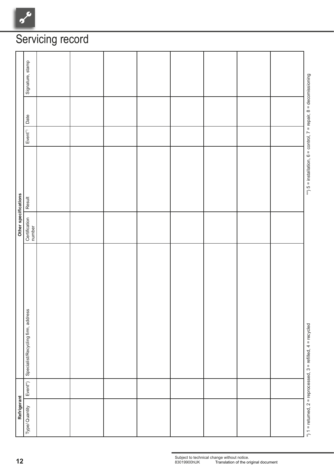$\overline{c}$  $\gamma$ 

| Signature, stamp<br>Date<br>$Event^{\prime\prime}$<br>Other specifications<br>Result<br>Certification<br>number<br>Specialist/Recycling firm, address |             |                |  |  |  |  |
|-------------------------------------------------------------------------------------------------------------------------------------------------------|-------------|----------------|--|--|--|--|
|                                                                                                                                                       |             |                |  |  |  |  |
|                                                                                                                                                       |             |                |  |  |  |  |
|                                                                                                                                                       |             |                |  |  |  |  |
|                                                                                                                                                       |             |                |  |  |  |  |
|                                                                                                                                                       |             |                |  |  |  |  |
| $Event^*)$                                                                                                                                            |             |                |  |  |  |  |
|                                                                                                                                                       | Refrigerant | Type/ Quantity |  |  |  |  |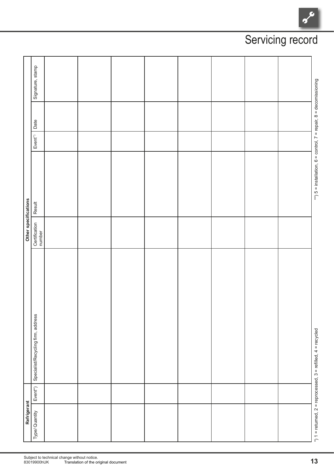| Refrigerant    |             |                                                                      | Other specifications    |                                                                           |                        |      |                  |
|----------------|-------------|----------------------------------------------------------------------|-------------------------|---------------------------------------------------------------------------|------------------------|------|------------------|
| Type/ Quantity | $Event^*$ ) | Specialist/Recycling firm, address                                   | Certification<br>number | Result                                                                    | $Event^{\prime\prime}$ | Date | Signature, stamp |
|                |             |                                                                      |                         |                                                                           |                        |      |                  |
|                |             |                                                                      |                         |                                                                           |                        |      |                  |
|                |             |                                                                      |                         |                                                                           |                        |      |                  |
|                |             |                                                                      |                         |                                                                           |                        |      |                  |
|                |             |                                                                      |                         |                                                                           |                        |      |                  |
|                |             |                                                                      |                         |                                                                           |                        |      |                  |
|                |             |                                                                      |                         |                                                                           |                        |      |                  |
|                |             |                                                                      |                         |                                                                           |                        |      |                  |
|                |             | *) $1 =$ returned. $2 =$ reprocessed. $3 =$ refilled. $4 =$ recycled |                         | **) $5 =$ installation, $6 =$ control, $7 =$ repair, $8 =$ decomissioning |                        |      |                  |

## Servicing record

 $\frac{1}{\sqrt{2}}$ 

Subject to technical change without notice.<br>83019900hUK Translation of the original document **Translation of the original document**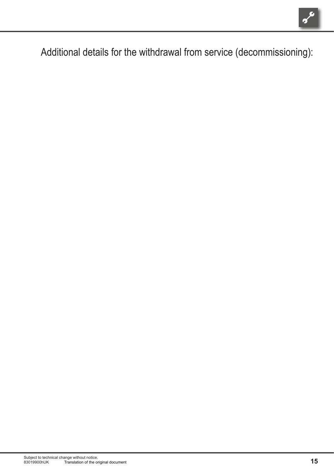

Additional details for the withdrawal from service (decommissioning):